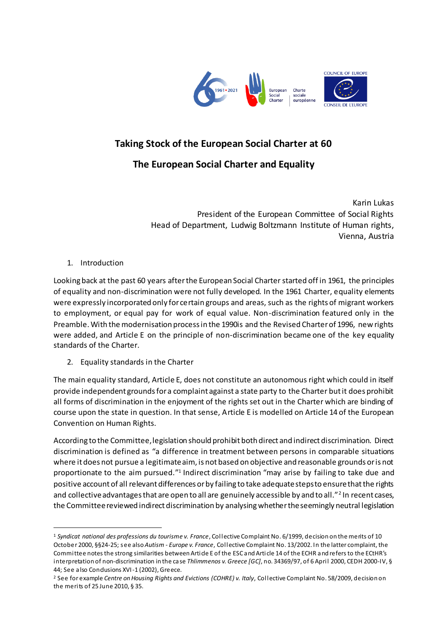

# **Taking Stock of the European Social Charter at 60**

## **The European Social Charter and Equality**

Karin Lukas President of the European Committee of Social Rights Head of Department, Ludwig Boltzmann Institute of Human rights, Vienna, Austria

#### 1. Introduction

 $\overline{a}$ 

Looking back at the past 60 years afterthe European Social Charter started off in 1961, the principles of equality and non-discrimination were not fully developed. In the 1961 Charter, equality elements were expressly incorporated only for certain groups and areas, such as the rights of migrant workers to employment, or equal pay for work of equal value. Non-discrimination featured only in the Preamble. With the modernisation process in the 1990is and the Revised Charter of 1996, new rights were added, and Article E on the principle of non-discrimination became one of the key equality standards of the Charter.

2. Equality standards in the Charter

The main equality standard, Article E, does not constitute an autonomous right which could in itself provide independent grounds for a complaint against a state party to the Charter but it does prohibit all forms of discrimination in the enjoyment of the rights set out in the Charter which are binding of course upon the state in question. In that sense, Article E is modelled on Article 14 of the European Convention on Human Rights.

According to the Committee, legislation should prohibit both direct and indirect discrimination. Direct discrimination is defined as "a difference in treatment between persons in comparable situations where it does not pursue a legitimate aim, is not based on objective and reasonable grounds or is not proportionate to the aim pursued."<sup>1</sup> Indirect discrimination "may arise by failing to take due and positive account of all relevant differences or by failing to take adequate steps to ensure that the rights and collective advantages that are open to all are genuinely accessible by and to all."<sup>2</sup> In recent cases, the Committee reviewed indirect discrimination by analysingwhether the seemingly neutral legislation

<sup>1</sup> *Syndicat national des professions du tourisme v. France*, Collective Complaint No. 6/1999, decision on the merits of 10 October 2000, §§24-25; see also *Autism - Europe v. France*, Collective Complaint No. 13/2002. In the latter complaint, the Committee notes the strong similarities between Article E of the ESC and Article 14 of the ECHR and refers to the ECtHR's interpretation of non-discrimination in the case *Thlimmenos v. Greece [GC]*, no. 34369/97, of 6 April 2000, CEDH 2000-IV, § 44; See also Condusions XVI-1 (2002), Greece.

<sup>2</sup> See for example *Centre on Housing Rights and Evictions (COHRE) v. Italy*, Collective Complaint No. 58/2009, decision on the merits of 25 June 2010, § 35.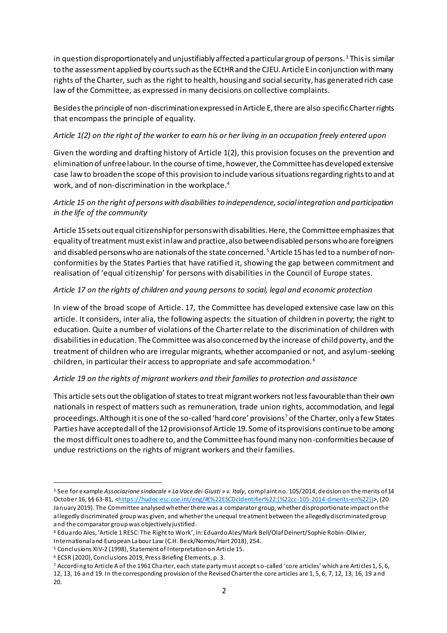in question disproportionately and unjustifiably affected a particular group of persons.<sup>3</sup> This is similar to the assessment applied by courts such as the ECtHR and the CJEU. Article E in conjunction with many rights of the Charter, such as the right to health, housing and social security, has generated rich case law of the Committee, as expressed in many decisions on collective complaints.

Besides the principle of non-discrimination expressed in Article E, there are also specific Charter rights that encompass the principle of equality.

#### *Article 1(2) on the right of the worker to earn his or her living in an occupation freely entered upon*

Given the wording and drafting history of Article 1(2), this provision focuses on the prevention and elimination of unfree labour. In the course of time, however, the Committee has developed extensive case law to broaden the scope of this provision to include various situations regarding rights to and at work, and of non-discrimination in the workplace.<sup>4</sup>

## *Article 15 on the right of persons with disabilities to independence, social integration and participation in the life of the community*

Article 15 sets out equal citizenship for persons with disabilities. Here, the Committee emphasizes that equality of treatment must exist in law and practice, also between disabled persons who are foreigners and disabled persons who are nationals of the state concerned. <sup>5</sup> Article 15 has led to a number of nonconformities by the States Parties that have ratified it, showing the gap between commitment and realisation of 'equal citizenship' for persons with disabilities in the Council of Europe states.

#### *Article 17 on the rights of children and young persons to social, legal and economic protection*

In view of the broad scope of Article. 17, the Committee has developed extensive case law on this article. It considers, inter alia, the following aspects: the situation of children in poverty; the right to education. Quite a number of violations of the Charter relate to the discrimination of children with disabilities in education. The Committee was also concerned by the increase of child poverty, and the treatment of children who are irregular migrants, whether accompanied or not, and asylum-seeking children, in particular their access to appropriate and safe accommodation. <sup>6</sup>

## *Article 19 on the rights of migrant workers and their families to protection and assistance*

This article sets out the obligation of states to treat migrant workers not less favourable than their own nationals in respect of matters such as remuneration, trade union rights, accommodation, and legal proceedings. Although it is one of the so-called 'hard core' provisions<sup>7</sup> of the Charter, only a few States Parties have accepted all of the 12 provisions of Article 19. Some of its provisions continue to be among the most difficult ones to adhere to, and the Committee has found many non-conformities because of undue restrictions on the rights of migrant workers and their families.

 $\overline{a}$ 

<sup>3</sup> See for example *Associazione sindacale « La Voce dei Giusti » v. Italy*, complaint no. 105/2014, decision on the merits of 14 October 16, §§ 63-81, [<https://hudoc.esc.coe.int/eng/#{%22ESCDcIdentifier%22:\[%22cc-105-2014-dmerits-en%22\]}](https://hudoc.esc.coe.int/eng/#{%22ESCDcIdentifier%22:[%22cc-105-2014-dmerits-en%22]})>, (20 January 2019). The Committee analysed whether there was a comparator group, whether disproportionate impact on the allegedly discriminated group was given, and whether the unequal treatment between the allegedly discriminated group and the comparator group was objectively justified.

<sup>4</sup> Eduardo Ales, 'Article 1 RESC: The Right to Work', in: Eduardo Ales/Mark Bell/Olaf Deinert/Sophie Robin-Olivier,

International and European Labour Law (C.H. Beck/Nomos/Hart 2018), 254.

<sup>5</sup> Conclusions XIV-2 (1998), Statement of Interpretation on Article 15.

<sup>6</sup> ECSR (2020), Conclusions 2019, Press Briefing Elements, p. 3.

<sup>7</sup> According to Article A of the 1961 Charter, each state party must accept so-called 'core articles' which are Articles 1, 5, 6, 12, 13, 16 and 19. In the corresponding provision of the Revised Charter the core articles are 1, 5, 6, 7, 12, 13, 16, 19 and 20.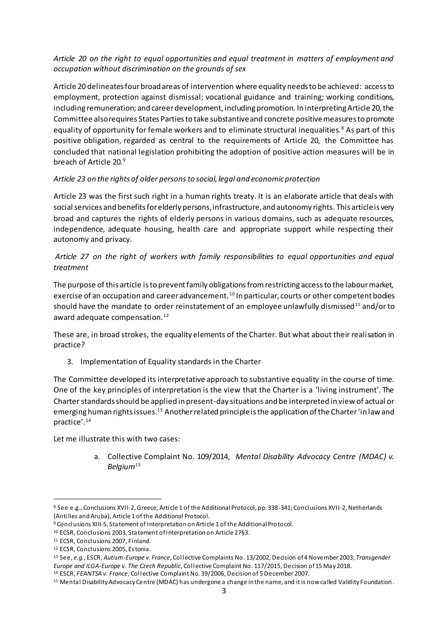#### *Article 20 on the right to equal opportunities and equal treatment in matters of employment and occupation without discrimination on the grounds of sex*

Article 20 delineates four broad areas of intervention where equality needs to be achieved: access to employment, protection against dismissal; vocational guidance and training; working conditions, including remuneration; and career development, including promotion. In interpreting Article 20, the Committee also requires States Parties to take substantive and concrete positive measures to promote equality of opportunity for female workers and to eliminate structural inequalities.<sup>8</sup> As part of this positive obligation, regarded as central to the requirements of Article 20, the Committee has concluded that national legislation prohibiting the adoption of positive action measures will be in breach of Article 20. 9

#### *Article 23 on the rights of older persons to social, legal and economic protection*

Article 23 was the first such right in a human rights treaty. It is an elaborate article that deals with social services and benefits for elderly persons, infrastructure, and autonomy rights. This article is very broad and captures the rights of elderly persons in various domains, such as adequate resources, independence, adequate housing, health care and appropriate support while respecting their autonomy and privacy.

## *Article 27 on the right of workers with family responsibilities to equal opportunities and equal treatment*

The purpose of this article is to prevent family obligations from restricting access to the labour market, exercise of an occupation and career advancement.<sup>10</sup> In particular, courts or other competent bodies should have the mandate to order reinstatement of an employee unlawfully dismissed<sup>11</sup> and/or to award adequate compensation.<sup>12</sup>

These are, in broad strokes, the equality elements of the Charter. But what about their realisation in practice?

3. Implementation of Equality standards in the Charter

The Committee developed its interpretative approach to substantive equality in the course of time. One of the key principles of interpretation is the view that the Charter is a 'living instrument'. The Charter standards should be applied in present-day situations and be interpreted in view of actual or emerging human rights issues.<sup>13</sup> Another related principle is the application of the Charter 'in law and practice'.<sup>14</sup>

Let me illustrate this with two cases:

a. Collective Complaint No. 109/2014, *Mental Disability Advocacy Centre (MDAC) v. Belgium<sup>15</sup>*

 $\overline{a}$ 

<sup>8</sup> See e.g., Conclusions XVII-2, Greece, Article 1 of the Additional Protocol, pp. 338-341; Conclusions XVII-2, Netherlands (Antilles and Aruba), Article 1 of the Additional Protocol.

<sup>9</sup> Conclusions XIII-5, Statement of Interpretation on Article 1 of the Additional Protocol.

<sup>10</sup> ECSR, Conclusions 2003, Statement of Interpretation on Article 27§3.

<sup>11</sup> ECSR, Conclusions 2007, Finland.

<sup>12</sup> ECSR, Conclusions 2005, Estonia.

<sup>13</sup> See, *e.g.*, ESCR, *Autism-Europe v. France*, Collective Complaints No. 13/2002, Decision of 4 November 2003; *Transgender Europe and ILGA-Europe v. The Czech Republic*, Collective Complaint No. 117/2015, Decision of 15 May 2018.

<sup>14</sup> ESCR, *FEANTSA v. France*, Collective Complaint No. 39/2006, Decision of 5 December 2007.

<sup>15</sup> Mental Disability Advocacy Centre (MDAC) has undergone a change in the name, and it is now called Validity Foundation.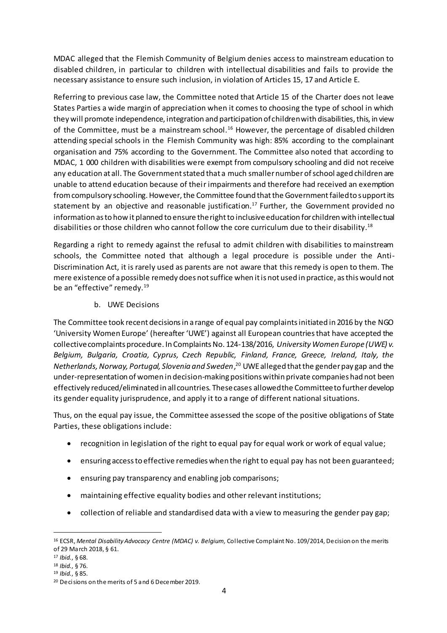MDAC alleged that the Flemish Community of Belgium denies access to mainstream education to disabled children, in particular to children with intellectual disabilities and fails to provide the necessary assistance to ensure such inclusion, in violation of Articles 15, 17 and Article E.

Referring to previous case law, the Committee noted that Article 15 of the Charter does not leave States Parties a wide margin of appreciation when it comes to choosing the type of school in which they will promote independence, integration and participation of children with disabilities, this, in view of the Committee, must be a mainstream school.<sup>16</sup> However, the percentage of disabled children attending special schools in the Flemish Community was high: 85% according to the complainant organisation and 75% according to the Government. The Committee also noted that according to MDAC, 1 000 children with disabilities were exempt from compulsory schooling and did not receive any education at all. The Government stated that a much smaller number of school aged children are unable to attend education because of their impairments and therefore had received an exemption from compulsory schooling. However, the Committee found that the Government failed to support its statement by an objective and reasonable justification. <sup>17</sup> Further, the Government provided no information as to how it planned to ensure the right to inclusive education for children with intellectual disabilities or those children who cannot follow the core curriculum due to their disability. $^{18}$ 

Regarding a right to remedy against the refusal to admit children with disabilities to mainstream schools, the Committee noted that although a legal procedure is possible under the Anti-Discrimination Act, it is rarely used as parents are not aware that this remedy is open to them. The mere existence of a possible remedy does not suffice when it is not used in practice, as this would not be an "effective" remedy.<sup>19</sup>

b. UWE Decisions

The Committee took recent decisions in a range of equal pay complaints initiated in 2016 by the NGO 'University Women Europe' (hereafter 'UWE') against all European countries that have accepted the collective complaints procedure. In Complaints No. 124-138/2016, *University Women Europe (UWE) v. Belgium, Bulgaria, Croatia, Cyprus, Czech Republic, Finland, France, Greece, Ireland, Italy, the Netherlands, Norway, Portugal, Slovenia and Sweden*, <sup>20</sup> UWE alleged that the gender pay gap and the under-representation of women in decision-making positions within private companies had not been effectively reduced/eliminated in all countries. These cases allowed the Committee to further develop its gender equality jurisprudence, and apply it to a range of different national situations.

Thus, on the equal pay issue, the Committee assessed the scope of the positive obligations of State Parties, these obligations include:

- recognition in legislation of the right to equal pay for equal work or work of equal value;
- ensuring access to effective remedies when the right to equal pay has not been guaranteed;
- ensuring pay transparency and enabling job comparisons;
- maintaining effective equality bodies and other relevant institutions;
- collection of reliable and standardised data with a view to measuring the gender pay gap;

 $\overline{a}$ <sup>16</sup> ECSR, *Mental Disability Advocacy Centre (MDAC) v. Belgium,* Collective Complaint No. 109/2014, Decision on the merits of 29 March 2018, § 61.

<sup>17</sup> *Ibid.*, § 68.

<sup>18</sup> *Ibid.*, § 76.

<sup>19</sup> *Ibid.*, § 85.

<sup>20</sup> Decisions on the merits of 5 and 6 December 2019.